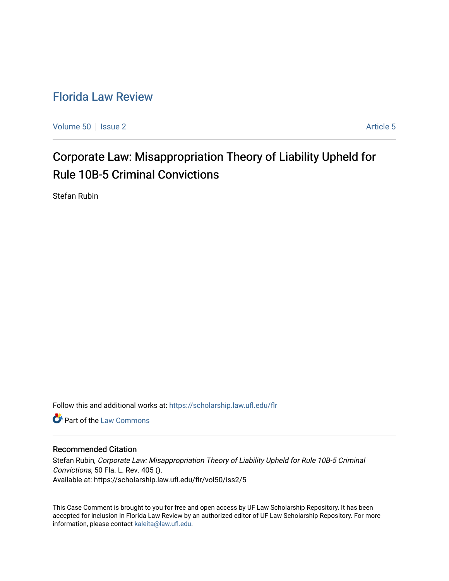## [Florida Law Review](https://scholarship.law.ufl.edu/flr)

[Volume 50](https://scholarship.law.ufl.edu/flr/vol50) | [Issue 2](https://scholarship.law.ufl.edu/flr/vol50/iss2) Article 5

# Corporate Law: Misappropriation Theory of Liability Upheld for Rule 10B-5 Criminal Convictions

Stefan Rubin

Follow this and additional works at: [https://scholarship.law.ufl.edu/flr](https://scholarship.law.ufl.edu/flr?utm_source=scholarship.law.ufl.edu%2Fflr%2Fvol50%2Fiss2%2F5&utm_medium=PDF&utm_campaign=PDFCoverPages)

**C** Part of the [Law Commons](http://network.bepress.com/hgg/discipline/578?utm_source=scholarship.law.ufl.edu%2Fflr%2Fvol50%2Fiss2%2F5&utm_medium=PDF&utm_campaign=PDFCoverPages)

#### Recommended Citation

Stefan Rubin, Corporate Law: Misappropriation Theory of Liability Upheld for Rule 10B-5 Criminal Convictions, 50 Fla. L. Rev. 405 (). Available at: https://scholarship.law.ufl.edu/flr/vol50/iss2/5

This Case Comment is brought to you for free and open access by UF Law Scholarship Repository. It has been accepted for inclusion in Florida Law Review by an authorized editor of UF Law Scholarship Repository. For more information, please contact [kaleita@law.ufl.edu.](mailto:kaleita@law.ufl.edu)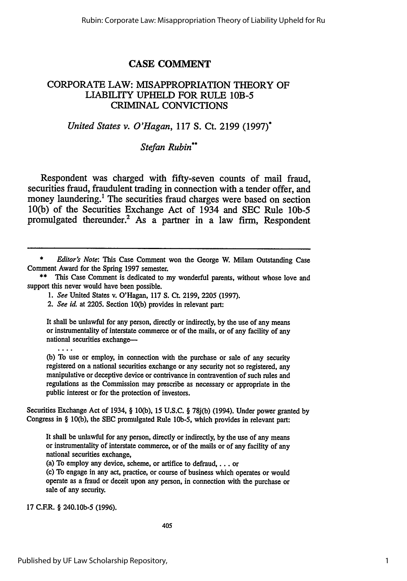## **CASE COMMENT**

#### CORPORATE LAW: MISAPPROPRIATION THEORY OF LIABILITY UPHELD FOR RULE 1OB-5 CRIMINAL CONVICTIONS

### *United States v. O'Hagan,* 117 **S.** Ct. 2199 (1997)\*

#### *Stefan Rubin\**

Respondent was charged with fifty-seven counts of mail fraud, securities fraud, fraudulent trading in connection with a tender offer, and money laundering.<sup>1</sup> The securities fraud charges were based on section 10(b) of the Securities Exchange Act of 1934 and **SEC** Rule **lOb-5** promulgated thereunder.<sup>2</sup> As a partner in a law firm, Respondent

It shall be unlawful for any person, directly or indirectly, **by** the use of any means or instrumentality of interstate commerce or of the mails, or of any facility of any national securities exchange--

**(b)** To use or employ, in connection with the purchase or sale of any security registered on a national securities exchange or any security not so registered, any manipulative or deceptive device or contrivance in contravention of such rules and regulations as the Commission may prescribe as necessary or appropriate in the public interest or for the protection of investors.

Securities Exchange Act of 1934, § **10(b), 15 U.S.C.** § **78j(b)** (1994). Under power granted **by** Congress in § **10(b),** the **SEC** promulgated Rule **lOb-5,** which provides in relevant part:

It shall be unlawful for any person, directly or indirectly, **by** the use of any means or instrumentality of interstate commerce, or of the mails or of any facility of any national securities exchange,

(a) To employ any device, scheme, or artifice to defraud,  $\dots$  or

**(c)** To engage in any act, practice, or course of business which operates or would operate as a fraud or deceit upon any person, in connection with the purchase or sale of any security.

**17** C.F.R. § 240.10b-5 (1996).

*<sup>\*</sup> Editor's Note:* This Case Comment won the George W. Milam Outstanding Case Comment Award for the Spring **1997** semester.

**<sup>\*\*</sup>** This Case Comment is dedicated to my wonderful parents, without whose love and support this never would have been possible.

*<sup>1.</sup> See* United States v. O'Hagan, **117 S. Ct. 2199, 2205 (1997).**

*<sup>2.</sup> See id.* at **2205.** Section **10(b)** provides in relevant part: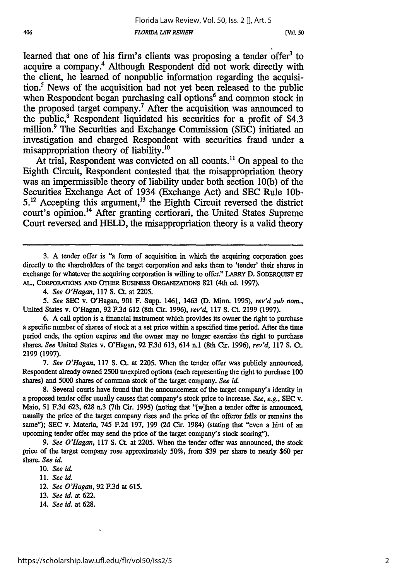learned that one of his firm's clients was proposing a tender offer<sup>3</sup> to acquire a company.4 Although Respondent did not work directly with the client, he learned of nonpublic information regarding the acquisition.' News of the acquisition had not yet been released to the public when Respondent began purchasing call options<sup>6</sup> and common stock in the proposed target company.7 After the acquisition was announced to the public,<sup>8</sup> Respondent liquidated his securities for a profit of \$4.3 million.9 The Securities and Exchange Commission **(SEC)** initiated an investigation and charged Respondent with securities fraud under a misappropriation theory of liability.<sup>10</sup>

At trial, Respondent was convicted on all counts.<sup>11</sup> On appeal to the Eighth Circuit, Respondent contested that the misappropriation theory was an impermissible theory of liability under both section **10(b)** of the Securities Exchange Act of 1934 (Exchange Act) and **SEC** Rule **10b-5.12** Accepting this argument, 13 the Eighth Circuit reversed the district court's opinion.<sup>14</sup> After granting certiorari, the United States Supreme Court reversed and **HELD,** the misappropriation theory is a valid theory

3. A tender offer is "a form of acquisition in which the acquiring corporation goes directly to the shareholders of the target corporation and asks them to 'tender' their shares in exchange for whatever the acquiring corporation is willing to offer." LARRY D. **SODERQUIST ET** AL., CORPORATIONS AND OTHER BUSINESS ORGANIZATIONS 821 (4th ed. 1997).

*5. See* **SEC** v. O'Hagan, 901 F. Supp. 1461, 1463 **(D.** Minn. 1995), *rev'd sub* nom., United States v. O'Hagan, 92 F.3d 612 (8th Cir. 1996), *rev'd,* 117 **S. Ct.** 2199 (1997).

**6.** A call option is a financial instrument which provides its owner the right to purchase a specific number of shares of stock at a set price within a specified time period. After the time period ends, the option expires and the owner may no longer exercise the right to purchase shares. *See* United States v. O'Hagan, 92 F.3d 613, 614 n.1 (8th Cir. 1996), *rev'd,* 117 **S.** Ct. 2199 (1997).

*7. See O'Hagan,* 117 **S.** Ct. at 2205. When the tender offer was publicly announced, Respondent already owned 2500 unexpired options (each representing the right to purchase **100** shares) and 5000 shares of common stock of the target company. *See id.*

8. Several courts have found that the announcement of the target company's identity in a proposed tender offer usually causes that company's stock price to increase. *See, e.g.,* **SEC** v. Maio, 51 F.3d 623, **628** n.3 (7th Cir. 1995) (noting that "[w]hen a tender offer is announced, usually the price of the target company rises and the price of the offeror falls or remains the same'); **SEC** v. Materia, 745 F.2d 197, 199 (2d Cir. 1984) (stating that "even a hint of an upcoming tender offer may send the price of the target company's stock soaring").

*9. See O'Hagan,* 117 **S. Ct.** at **2205.** When the tender offer was announced, the stock price of the target company rose approximately 50%, from \$39 per share to nearly \$60 per share. *See id.*

12. See O'Hagan, 92 F.3d at 615.

14. *See id.* at 628.

*<sup>4.</sup> See O'Hagan,* 117 **S. Ct.** at 2205.

<sup>10.</sup> *See id.*

<sup>11.</sup> *See id.*

<sup>13.</sup> *See id.* at 622.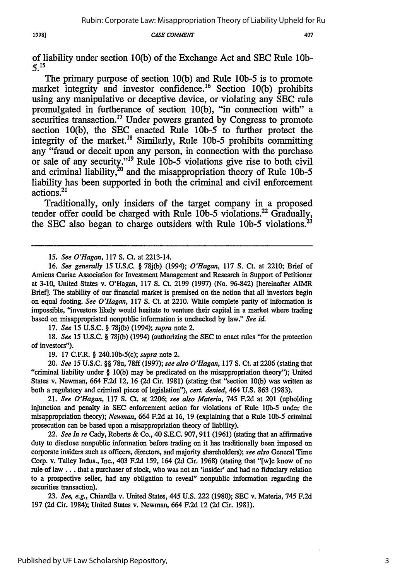19981

#### CASE COMMENT

of liability under section **10(b)** of the Exchange Act and SEC Rule lOb-*515*

The primary purpose of section 10(b) and Rule **10b-5** is to promote market integrity and investor confidence.<sup>16</sup> Section 10(b) prohibits using any manipulative or deceptive device, or violating any **SEC** rule promulgated in furtherance of section 10(b), "in connection with" a securities transaction.<sup>17</sup> Under powers granted by Congress to promote section 10(b), the SEC enacted Rule *lOb-5* to further protect the integrity of the market.<sup>18</sup> Similarly, Rule 10b-5 prohibits committing any "fraud or deceit upon any person, in connection with the purchase or sale of any security."19 Rule **lOb-5** violations give rise to both civil and criminal liability,<sup>20</sup> and the misappropriation theory of Rule 10b-5 liability has been supported in both the criminal and civil enforcement actions.<sup>21</sup>

Traditionally, only insiders of the target company in a proposed tender offer could be charged with Rule 10b-5 violations.<sup>22</sup> Gradually, the SEC also began to charge outsiders with Rule **lOb-5** violations.23

**17.** *See* 15 U.S.C. **§** 78j(b) (1994); *supra* note 2.

18. *See* 15 U.S.C. **§** 78j(b) (1994) (authorizing the **SEC** to enact rules "for the protection of investors").

**19. 17** C.F.R. **§** 240.10b-5(c); *supra* note 2.

20. *See* 15 U.S.C. **§§** 78u, 78ff (1997); *see also O'Hagan,* 117 **S.** Ct. at **2206** (stating that "criminal liability under **§** 10(b) may be predicated on the misappropriation theory"); United States v. Newman, 664 F.2d 12, 16 **(2d** Cir. 1981) (stating that "section 10(b) was written as both a regulatory and criminal piece of legislation"), *cert. denied,* 464 U.S. **863** (1983).

21. *See O'Hagan, 117* **S.** Ct. at **2206;** *see also Materia,* 745 F.2d at 201 (upholding injunction and penalty in **SEC** enforcement action for violations of Rule **lOb-5** under the misappropriation theory); *Newman,* 664 **F.2d** at 16, 19 (explaining that a Rule **lOb-5** criminal prosecution can be based upon a misappropriation theory of liability).

22. *See In re* Cady, Roberts & Co., 40 S.E.C. 907, 911 **(1961)** (stating that an affirmative duty to disclose nonpublic information before trading on it has traditionally been imposed on corporate insiders such as officers, directors, and majority shareholders); *see also* General Time Corp. v. Talley Indus., Inc., 403 **F.2d 159,** 164 **(2d** Cir. **1968)** (stating that "[w]e know of no rule of law... that a purchaser of stock, who was not an 'insider' and had no fiduciary relation to a prospective seller, had any obligation to reveal" nonpublic information regarding the securities transaction).

23. *See, e.g.,* Chiarella v. United States, 445 U.S. 222 (1980); SEC v. Materia, 745 F.2d 197 (2d Cir. 1984); United States v. Newman, 664 F.2d 12 (2d Cir. 1981).

*<sup>15.</sup> See O'Hagan,* 117 **S.** Ct. at 2213-14.

<sup>16.</sup> *See generally* 15 U.S.C. **§** 78j(b) (1994); *O'Hagan,* 117 S. Ct. at 2210; Brief of Amicus Curiae Association for Investment Management and Research in Support of Petitioner at 3-10, United States v. O'Hagan, 117 **S.** Ct. 2199 (1997) (No. 96-842) [hereinafter AIMR Brief]. The stability of our financial market is premised on the notion that all investors begin on equal footing. *See O'Hagan, 117* **S.** Ct. at 2210. While complete parity of information is impossible, "investors likely would hesitate to venture their capital in a market where trading based on misappropriated nonpublic information is unchecked by law." *See id.*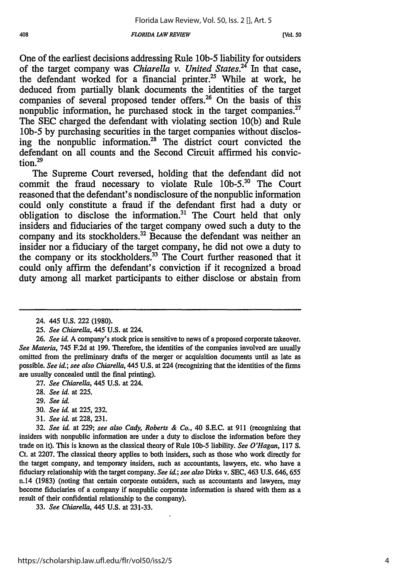#### *FLORIDA LAW REVIEW*

One of the earliest decisions addressing Rule **lOb-5** liability for outsiders of the target company was *Chiarella* v. United States.<sup>24</sup> In that case, the defendant worked for a financial printer.<sup>25</sup> While at work, he deduced from partially blank documents the identities of the target companies of several proposed tender offers.<sup>26</sup> On the basis of this nonpublic information, he purchased stock in the target companies.<sup>27</sup> The **SEC** charged the defendant with violating section **10(b)** and Rule **10b-5 by** purchasing securities in the target companies without disclosing the nonpublic information.<sup>28</sup> The district court convicted the defendant on all counts and the Second Circuit affirmed his convic $t$ ion. $^{29}$ 

The Supreme Court reversed, holding that the defendant did not commit the fraud necessary to violate Rule *l0b-520* The Court reasoned that the defendant's nondisclosure of the nonpublic information could only constitute a fraud if the defendant first had a duty or obligation to disclose the information.<sup>31</sup> The Court held that only insiders and fiduciaries of the target company owed such a duty to the company and its stockholders.<sup>32</sup> Because the defendant was neither an insider nor a fiduciary of the target company, he did not owe a duty to the company or its stockholders.<sup>33</sup> The Court further reasoned that it could only affirm the defendant's conviction if it recognized a broad duty among all market participants to either disclose or abstain from

- **27.** *See Chiarella,* 445 U.S. at 224.
- 28. *See id.* at 225.
- **29.** *See id.*
- 30. *See id.* at 225, **232.**
- 31. *See id.* at 228, 231.

33. *See Chiarella,* 445 U.S. at 231-33.

<sup>24. 445</sup> U.S. 222 (1980).

*<sup>25.</sup> See Chiarella,* 445 U.S. at 224.

<sup>26.</sup> *See id.* A company's stock price is sensitive to news of a proposed corporate takeover. *See Materia,* 745 F.2d at 199. Therefore, the identities of the companies involved are usually omitted from the preliminary drafts of the merger or acquisition documents until as late as possible. *See id.; see also Chiarella,* 445 U.S. at 224 (recognizing that the identities of the **firms** are usually concealed until the final printing).

**<sup>32.</sup>** *See id* at 229; *see also Cady, Roberts & Co.,* 40 S.E.C. at 911 (recognizing that insiders with nonpublic information are under a duty to disclose the information before they trade on it). This is known as the classical theory of Rule **lob-5** liability. *See O'Hagan,* 117 **S.** Ct. at 2207. The classical theory applies to both insiders, such as those who work directly for the target company, and temporary insiders, such as accountants, lawyers, etc. who have a fiduciary relationship with the target company. *See id.; see also* Dirks v. SEC, 463 U.S. 646, 655 n.14 (1983) (noting that certain corporate outsiders, such as accountants and lawyers, may become fiduciaries of a company if nonpublic corporate information is shared with them as a result of their confidential relationship to the company).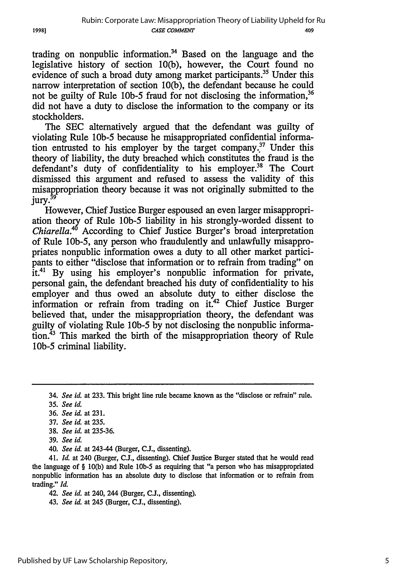trading on nonpublic information.<sup>34</sup> Based on the language and the legislative history of section 10(b), however, the Court found no evidence of such a broad duty among market participants.<sup>35</sup> Under this narrow interpretation of section 10(b), the defendant because he could not be guilty of Rule 10b-5 fraud for not disclosing the information,<sup>36</sup> did not have a duty to disclose the information to the company or its stockholders.

The SEC alternatively argued that the defendant was guilty of violating Rule *lOb-5* because he misappropriated confidential information entrusted to his employer by the target company.<sup>37</sup> Under this theory of liability, the duty breached which constitutes the fraud is the defendant's duty of confidentiality to his employer.<sup>38</sup> The Court dismissed this argument and refused to assess the validity of this misappropriation theory because it was not originally submitted to the jury.<sup>39</sup>

However, Chief Justice Burger espoused an even larger misappropriation theory of Rule *lOb-5* liability in his strongly-worded dissent to *Chiarella.<sup>45</sup>* According to Chief Justice Burger's broad interpretation of Rule lOb-5, any person who fraudulently and unlawfully misappropriates nonpublic information owes a duty to all other market participants to either "disclose that information or to refrain from trading" on  $\overline{t}$ t.<sup>41</sup> By using his employer's nonpublic information for private, personal gain, the defendant breached his duty of confidentiality to his employer and thus owed an absolute duty to either disclose the information or refrain from trading on it.<sup>42</sup> Chief Justice Burger believed that, under the misappropriation theory, the defendant was guilty of violating Rule **lOb-5** by not disclosing the nonpublic information.<sup>43</sup> This marked the birth of the misappropriation theory of Rule *lOb-5* criminal liability.

40. *See id.* at 243-44 (Burger, **C.L,** dissenting).

41. *Id.* at 240 (Burger, CJ., dissenting). Chief Justice Burger stated that he would read the language of § 10(b) and Rule **lob-5** as requiring that "a person who has misappropriated nonpublic information has an absolute duty to disclose that information or to refrain from trading." *Id.*

42. *See id.* at 240, 244 (Burger, **C..,** dissenting).

<sup>34.</sup> *See id.* at **233.** This bright line rule became known as the "disclose or refrain" rule.

**<sup>35.</sup>** *See id.*

<sup>36.</sup> *See id.* at 231.

<sup>37.</sup> *See id.* at 235.

<sup>38.</sup> *See id.* at 235-36.

<sup>39.</sup> *See id.*

<sup>43.</sup> *See id.* at 245 (Burger, **C.L,** dissenting).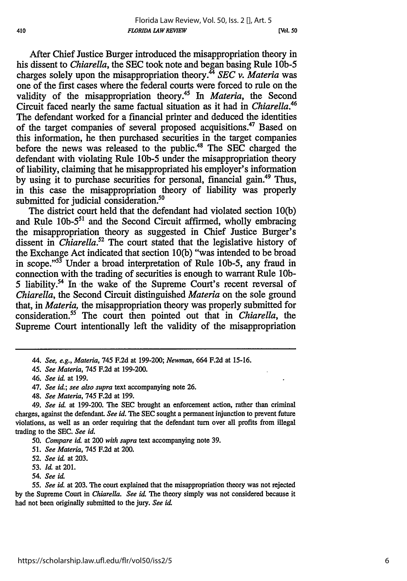After Chief Justice Burger introduced the misappropriation theory in his dissent to *Chiarella,* the SEC took note and began basing Rule **lOb-5** charges solely upon the misappropriation theory. <sup>4</sup>*SEC v. Materia* was one of the first cases where the federal courts were forced to rule on the validity of the misappropriation theory.45 In *Materia,* the Second Circuit faced nearly the same factual situation as it had in *Chiarella.41* The defendant worked for a financial printer and deduced the identities of the target companies of several proposed acquisitions.<sup>47</sup> Based on this information, he then purchased securities in the target companies before the news was released to the public.<sup>48</sup> The SEC charged the defendant with violating Rule **lOb-5** under the misappropriation theory of liability, claiming that he misappropriated his employer's information by using it to purchase securities for personal, financial gain.<sup>49</sup> Thus, in this case the misappropriation theory of liability was properly submitted for judicial consideration.<sup>50</sup>

The district court held that the defendant had violated section 10(b) and Rule **lOb-5<sup>5</sup> '** and the Second Circuit affirmed, wholly embracing the misappropriation theory as suggested in Chief Justice Burger's dissent in *Chiarella.52* The court stated that the legislative history of the Exchange Act indicated that section 10(b) "was intended to be broad in scope."53 Under a broad interpretation of Rule lOb-5, any fraud in connection with the trading of securities is enough to warrant Rule **lOb-**5 liability.<sup>54</sup> In the wake of the Supreme Court's recent reversal of *Chiarella,* the Second Circuit distinguished *Materia* on the sole ground that, in *Materia,* the misappropriation theory was properly submitted for consideration.<sup>55</sup> The court then pointed out that in *Chiarella*, the Supreme Court intentionally left the validity of the misappropriation

48. *See Materia,* 745 F.2d at 199.

49. *See id.* at **199-200.** The **SEC** brought an enforcement action, rather than criminal charges, against the defendant. *See id.* The **SEC** sought a permanent injunction to prevent future violations, as well as an order requiring that the defendant turn over all profits from illegal trading to the **SEC.** *See id.*

*50. Compare id.* at 200 *with supra* text accompanying note 39.

- *51. See Materia,* 745 F.2d at 200.
- 52. *See iL* at 203.
- 53. *Id.* at 201.
- *54. See id.*

*55. See id.* at **203.** The court explained that the misappropriation theory was not rejected by the Supreme Court in *Chiarella. See id The* theory simply was not considered because it had not been originally submitted to the jury. *See* **id.**

<sup>44.</sup> *See, e.g., Materia,* 745 F.2d at 199-200; *Newman,* 664 F.2d at 15-16.

*<sup>45.</sup> See Materia,* 745 F.2d at 199-200.

<sup>46.</sup> *See id.* at 199.

<sup>47.</sup> *See id.; see also supra* text accompanying note **26.**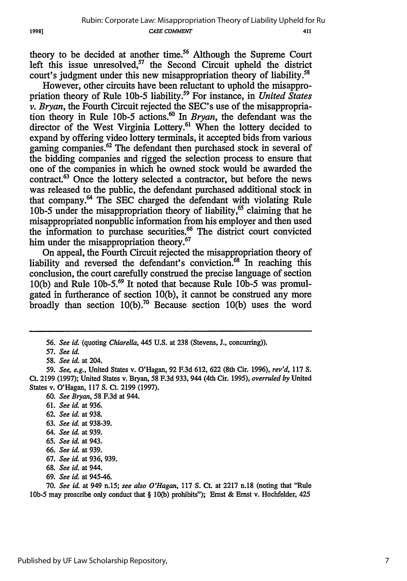theory to be decided at another time.<sup>56</sup> Although the Supreme Court left this issue unresolved,  $57$  the Second Circuit upheld the district court's judgment under this new misappropriation theory of liability.<sup>58</sup>

However, other circuits have been reluctant to uphold the misappropriation theory of Rule **lOb-5** liability.59 For instance, in *United States v. Bryan,* the Fourth Circuit rejected the SEC's use of the misappropriation theory in Rule **lOb-5** actions.60 In *Bryan,* the defendant was the director of the West Virginia Lottery.<sup>61</sup> When the lottery decided to expand by offering video lottery terminals, it accepted bids from various gaming companies.<sup>62</sup> The defendant then purchased stock in several of the bidding companies and rigged the selection process to ensure that one of the companies in which he owned stock would be awarded the contract.63 Once the lottery selected a contractor, but before the news was released to the public, the defendant purchased additional stock in that company.64 The SEC charged the defendant with violating Rule 10b-5 under the misappropriation theory of liability,<sup>65</sup> claiming that he misappropriated nonpublic information from his employer and then used the information to purchase securities.<sup>66</sup> The district court convicted him under the misappropriation theory.<sup>67</sup>

On appeal, the Fourth Circuit rejected the misappropriation theory of liability and reversed the defendant's conviction.<sup>68</sup> In reaching this conclusion, the court carefully construed the precise language of section 10(b) and Rule lOb-5. 69 It noted that because Rule **lOb-5** was promulgated in furtherance of section 10(b), it cannot be construed any more broadly than section 10(b).70 Because section 10(b) uses the word

60. *See Bryan,* 58 F.3d at 944.

- *62. See id.* at 938.
- 63. *See id.* at 938-39.
- 64. *See id.* at 939.
- 65. *See id.* at 943.
- 66. *See id.* at 939.
- 67. *See id.* at 936, 939.
- 68. *See id.* at 944.
- 69. *See id.* at 945-46.

70. *See id,* at 949 n.15; *see also O'Hagan,* 117 **S.** Ct. at 2217 n.18 (noting that "Rule **10b-5** may proscribe only conduct that § **10(b)** prohibits"); Ernst & Ernst v. Hochfelder, 425

*<sup>56.</sup> See id.* (quoting *Chiarella,* 445 U.S. at 238 (Stevens, J., concurring)).

*<sup>57.</sup> See id.*

*<sup>58.</sup> See id.* at 204.

*<sup>59.</sup> See, e.g.,* United States v. O'Hagan, 92 F.3d 612, 622 (8th Cir. 1996), *rev'd, 117* S. *Ct.* 2199 (1997); United States v. Bryan, 58 F.3d 933, 944 (4th Cir. 1995), *overruled by* United States v. O'Hagan, **117** S. Ct. 2199 (1997).

**<sup>61.</sup>** *See id.* at **936.**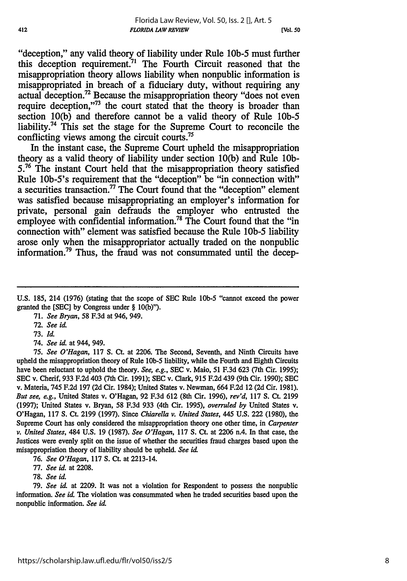**[Vol. 50**

"deception," any valid theory of liability under Rule **lOb-5** must further this deception requirement.<sup>71</sup> The Fourth Circuit reasoned that the misappropriation theory allows liability when nonpublic information is misappropriated in breach of a fiduciary duty, without requiring any actual deception.72 Because the misappropriation theory "does not even require deception."<sup>73</sup> the court stated that the theory is broader than section **10(b)** and therefore cannot be a valid theory of Rule **10b-5** liability.<sup>74</sup> This set the stage for the Supreme Court to reconcile the conflicting views among the circuit courts.75

In the instant case, the Supreme Court upheld the misappropriation theory as a valid theory of liability under section **10(b)** and Rule **10b-5.76** The instant Court held that the misappropriation theory satisfied Rule lOb-5's requirement that the "deception" be "in connection with" a securities transaction.<sup>77</sup> The Court found that the "deception" element was satisfied because misappropriating an employer's information for private, personal gain defrauds the employer who entrusted the employee with confidential information.<sup>78</sup> The Court found that the "in connection with" element was satisfied because the Rule **10b-5** liability arose only when the misappropriator actually traded on the nonpublic information.79 **Thus,** the fraud was not consummated until the decep-

**U.S. 185,** 214 (1976) (stating that the scope of **SEC** Rule **lOb-5** "cannot exceed the power granted the **[SEC] by** Congress under § 10(b)").

71. *See Biyan,* 58 F.3d at 946, 949.

72. See id.

73. *Id.*

*74. See* id. at 944, 949.

*75. See O'Hagan,* 117 **S.** Ct. at 2206. The Second, Seventh, and Ninth Circuits have upheld the misappropriation theory of Rule **lOb-5** liability, while the Fourth and Eighth Circuits have been reluctant to uphold the theory. *See, e.g.,* **SEC** v. Maio, 51 F.3d **623** (7th Cir. 1995); **SEC** v. Cherif, 933 F.2d 403 (7th Cir. 1991); **SEC** v. Clark, 915 F.2d 439 (9th Cir. 1990); **SEC** v. Materia, 745 F.2d 197 (2d Cir. 1984); United States v. Newman, 664 F.2d 12 (2d Cir. 1981). *But see, e.g.,* United States v. O'Hagan, **92** F.3d **612** (8th Cir. 1996), *rev'd,* 117 **S. Ct.** 2199 (1997); United States v. Bryan, 58 F.3d 933 (4th Cir. 1995), *overruled by* United States v. O'Hagan, 117 **S. Ct.** 2199 (1997). Since *Chiarella v. United States,* 445 U.S. 222 (1980), the Supreme Court has only considered the misappropriation theory one other time, in *Carpenter v. United States,* 484 U.S. 19 (1987). *See O'Hagan,* 117 **S.** Ct. at 2206 n.4. In that case, the Justices were evenly split on the issue of whether the securities fraud charges based upon the misappropriation theory of liability should be upheld. *See id*

76. *See O'Hagan,* 117 **S.** Ct. at 2213-14.

77. *See id.* at 2208.

78. *See id.*

79. *See* **id** at 2209. It was not a violation for Respondent to possess the nonpublic information. *See id.* The violation was consummated when he traded securities based upon the nonpublic information. *See id.*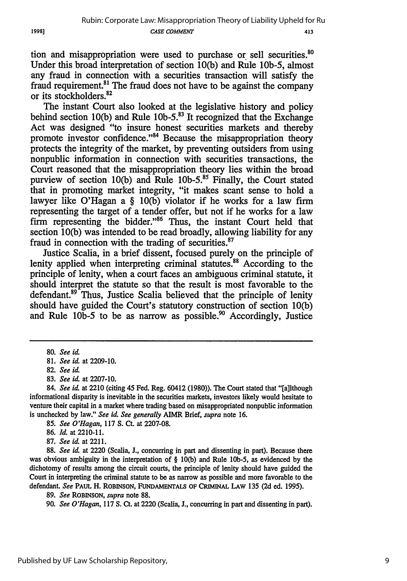tion and misappropriation were used to purchase or sell securities.<sup>80</sup> Under this broad interpretation of section 10(b) and Rule 10b-5, almost any fraud in connection with a securities transaction will satisfy the fraud requirement.<sup>81</sup> The fraud does not have to be against the company or its stockholders.<sup>82</sup>

The instant Court also looked at the legislative history and policy behind section 10(b) and Rule *lOb-5.3* It recognized that the Exchange Act was designed "to insure honest securities markets and thereby promote investor confidence."<sup>84</sup> Because the misappropriation theory protects the integrity of the market, by preventing outsiders from using nonpublic information in connection with securities transactions, the Court reasoned that the misappropriation theory lies within the broad purview of section 10(b) and Rule 10b-5. $^{85}$  Finally, the Court stated that in promoting market integrity, "it makes scant sense to hold a lawyer like O'Hagan a § 10(b) violator if he works for a law firm representing the target of a tender offer, but not if he works for a law firm representing the bidder." $86$  Thus, the instant Court held that section 10(b) was intended to be read broadly, allowing liability for any fraud in connection with the trading of securities. $87$ 

Justice Scalia, in a brief dissent, focused purely on the principle of lenity applied when interpreting criminal statutes.<sup>88</sup> According to the principle of lenity, when a court faces an ambiguous criminal statute, it should interpret the statute so that the result is most favorable to the defendant.<sup>89</sup> Thus, Justice Scalia believed that the principle of lenity should have guided the Court's statutory construction of section 10(b) and Rule 10b-5 to be as narrow as possible.<sup>90</sup> Accordingly, Justice

83. *See id.* at 2207-10.

85. *See O'Hagan,* 117 S. Ct. at 2207-08.

87. *See id.* at 2211.

88. See id. at 2220 (Scalia, J., concurring in part and dissenting in part). Because there was obvious ambiguity in the interpretation of § 10(b) and Rule lOb-5, as evidenced by the dichotomy of results among the circuit courts, the principle of lenity should have guided the Court in interpreting the criminal statute to be as narrow as possible and more favorable to the defendant. *See* PAUL H. ROBINSON, **FuNDAMENTALs** OF **CRIMINAL LAW** 135 (2d ed. 1995).

89. *See* **ROBINSON,** *supra* note 88.

90. *See O'Hagan,* 117 **S.** Ct. at 2220 (Scalia, J., concurring in part and dissenting in part).

<sup>80.</sup> *See id.*

<sup>81.</sup> *See id.* at 2209-10.

<sup>82.</sup> *See iL*

<sup>84.</sup> *See id.* at 2210 (citing 45 Fed. Reg. 60412 (1980)). The Court stated that "[a]lthough informational disparity is inevitable in the securities markets, investors likely would hesitate to venture their capital in a market where trading based on misappropriated nonpublic information is unchecked by law." *See id See generally* AIMR Brief, *supra* note 16.

<sup>86.</sup> *Id.* at 2210-11.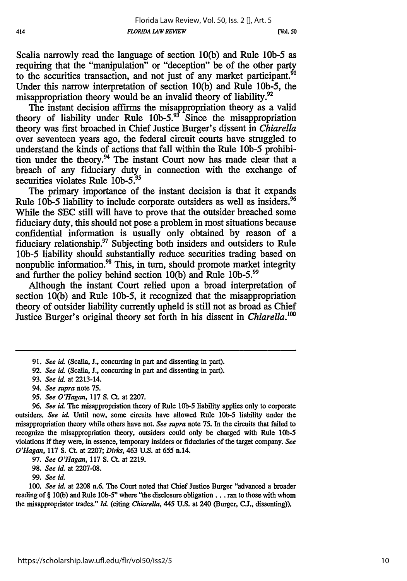Scalia narrowly read the language of section 10(b) and Rule **lOb-5** as requiring that the "manipulation" or "deception" be of the other party to the securities transaction, and not just of any market participant.<sup>51</sup> Under this narrow interpretation of section 10(b) and Rule lOb-5, the misappropriation theory would be an invalid theory of liability.<sup>92</sup>

The instant decision affirms the misappropriation theory as a valid theory of liability under Rule  $10b-5$ .<sup>93</sup> Since the misappropriation theory was first broached in Chief Justice Burger's dissent in *Chiarella* over seventeen years ago, the federal circuit courts have struggled to understand the kinds of actions that fall within the Rule **lOb-5** prohibition under the theory.<sup>94</sup> The instant Court now has made clear that a breach of any fiduciary duty in connection with the exchange of securities violates Rule 10b-5.<sup>95</sup>

The primary importance of the instant decision is that it expands Rule **lOb-5** liability to include corporate outsiders as well as insiders. <sup>96</sup> While the SEC still will have to prove that the outsider breached some fiduciary duty, this should not pose a problem in most situations because confidential information is usually only obtained by reason of a fiduciary relationship.<sup>97</sup> Subjecting both insiders and outsiders to Rule **lOb-5** liability should substantially reduce securities trading based on nonpublic information.<sup>98</sup> This, in turn, should promote market integrity and further the policy behind section 10(b) and Rule **lOb-5. <sup>99</sup>**

Although the instant Court relied upon a broad interpretation of section 10(b) and Rule lOb-5, it recognized that the misappropriation theory of outsider liability currently upheld is still not as broad as Chief Justice Burger's original theory set forth in his dissent in *Chiarella.'0*

- 94. *See supra* note 75.
- 95. *See O'Hagan,* 117 **S.** Ct. at **2207.**

97. *See O'Hagan,* 117 S. Ct. at 2219.

98. *See id.* at 2207-08.

*99. See id.*

*100. See id* at 2208 n.6. The Court noted that Chief Justice Burger "advanced a broader reading of § 10(b) and Rule lOb-5" where "the disclosure obligation.., ran to those with whom the misappropriator trades." *Id* (citing *Chiarella,* 445 U.S. at 240 (Burger, C.J., dissenting)).

**<sup>91.</sup>** *See* id. (Scalia, **J.,** concurring in part and dissenting in part).

<sup>92.</sup> *See id.* (Scalia, **J.,** concurring in part and dissenting in part).

<sup>93.</sup> *See id* at 2213-14.

<sup>96.</sup> *See id.* The misappropriation theory of Rule **lOb-5** liability applies only to corporate outsiders. *See id* Until now, some circuits have allowed Rule *lob-5* liability under the misappropriation theory while others have not. *See supra* note 75. In the circuits that failed to recognize the misappropriation theory, outsiders could only be charged with Rule **lob-5** violations if they were, in essence, temporary insiders or fiduciaries of the target company. *See O'Hagan,* 117 **S.** Ct. at **2207;** *Dirks,* 463 **U.S.** at 655 n.14.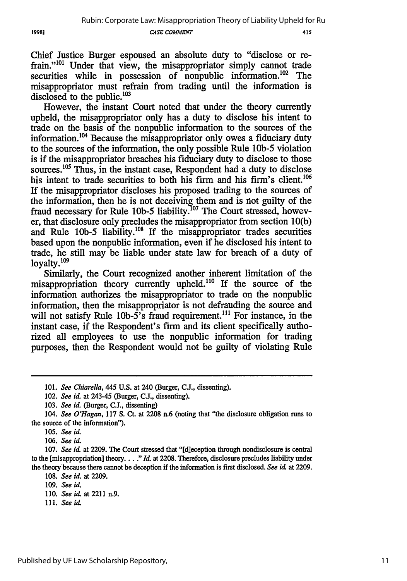415

Chief Justice Burger espoused an absolute duty to "disclose or refrain."<sup>101</sup> Under that view, the misappropriator simply cannot trade securities while in possession of nonpublic information.<sup>102</sup> The misappropriator must refrain from trading until the information is disclosed to the public.<sup>103</sup>

However, the instant Court noted that under the theory currently upheld, the misappropriator only has a duty to disclose his intent to trade on the basis of the nonpublic information to the sources of the information.104 Because the misappropriator only owes a fiduciary duty to the sources of the information, the only possible Rule **lOb-5** violation is if the misappropriator breaches his fiduciary duty to disclose to those sources.<sup>105</sup> Thus, in the instant case, Respondent had a duty to disclose his intent to trade securities to both his firm and his firm's client.<sup>106</sup> If the misappropriator discloses his proposed trading to the sources of the information, then he is not deceiving them and is not guilty of the fraud necessary for Rule 10b-5 liability.<sup>107</sup> The Court stressed, however, that disclosure only precludes the misappropriator from section 10(b) and Rule 10b-5 liability.<sup>108</sup> If the misappropriator trades securities based upon the nonpublic information, even if he disclosed his intent to trade, he still may be liable under state law for breach of a duty of loyalty. $^{109}$ 

Similarly, the Court recognized another inherent limitation of the misappropriation theory currently upheld.<sup>110</sup> If the source of the information authorizes the misappropriator to trade on the nonpublic information, then the misappropriator is not defrauding the source and will not satisfy Rule  $10b-5$ 's fraud requirement.<sup>111</sup> For instance, in the instant case, if the Respondent's firm and its client specifically authorized all employees to use the nonpublic information for trading purposes, then the Respondent would not be guilty of violating Rule

111. *See id.*

<sup>101.</sup> *See Chiarella,* 445 **U.S.** at 240 (Burger, CJ., dissenting).

<sup>102.</sup> *See id.* at 243-45 (Burger, CJ., dissenting).

**<sup>103.</sup>** *See iai* (Burger, **C.J.,** dissenting)

*<sup>104.</sup> See O'Hagan,* 117 **S.** Ct. at 2208 n.6 (noting that "the disclosure obligation runs to the source of the information").

<sup>105.</sup> *See id.*

*<sup>106.</sup> See id.*

<sup>107.</sup> See id. at 2209. The Court stressed that "[d]eception through nondisclosure is central to the [misappropriation] theory.. . **."** *kl* at 2208. Therefore, disclosure precludes liability under the theory because there cannot be deception if the information is first disclosed. *See id* at 2209.

**<sup>108.</sup>** *See id.* at **2209.**

*<sup>109.</sup> See id.*

<sup>110.</sup> *See id.* at 2211 n.9.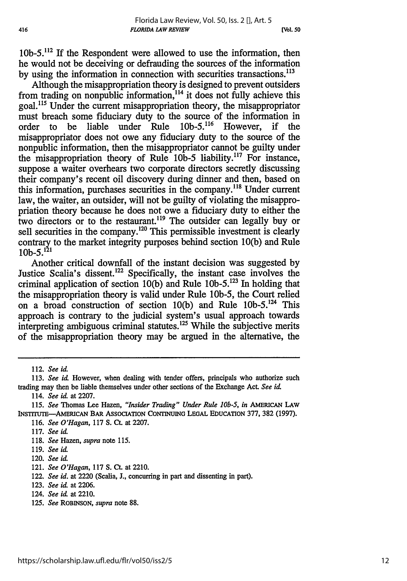**lOb-5.1 <sup>2</sup>**If the Respondent were allowed to use the information, then he would not be deceiving or defrauding the sources of the information by using the information in connection with securities transactions.<sup>113</sup>

Although the misappropriation theory is designed to prevent outsiders from trading on nonpublic information,<sup>114</sup> it does not fully achieve this goal.<sup>115</sup> Under the current misappropriation theory, the misappropriator must breach some fiduciary duty to the source of the information in order to be liable under Rule  $10b-5$ .<sup>116</sup> However, if the order to be liable under Rule  $10b-5$ <sup>116</sup> However, misappropriator does not owe any fiduciary duty to the source of the nonpublic information, then the misappropriator cannot be guilty under the misappropriation theory of Rule 10b-5 liability.<sup>117</sup> For instance, suppose a waiter overhears two corporate directors secretly discussing their company's recent oil discovery during dinner and then, based on this information, purchases securities in the company.<sup>118</sup> Under current law, the waiter, an outsider, will not be guilty of violating the misappropriation theory because he does not owe a fiduciary duty to either the two directors or to the restaurant.<sup>119</sup> The outsider can legally buy or sell securities in the company.<sup>120</sup> This permissible investment is clearly contrary to the market integrity purposes behind section 10(b) and Rule  $10b-5.<sup>121</sup>$ 

Another critical downfall of the instant decision was suggested by Justice Scalia's dissent.<sup>122</sup> Specifically, the instant case involves the criminal application of section 10(b) and Rule 10b-5.<sup>123</sup> In holding that the misappropriation theory is valid under Rule lOb-5, the Court relied on a broad construction of section 10(b) and Rule  $10b-5$ .<sup>124</sup> This approach is contrary to the judicial system's usual approach towards interpreting ambiguous criminal statutes.<sup>125</sup> While the subjective merits of the misappropriation theory may be argued in the alternative, the

118. *See* Hazen, *supra* note 115.

125. *See* ROBINSON, *supra* note 88.

<sup>112.</sup> *See id.*

**<sup>113.</sup>** *See id.* However, when dealing with tender offers, principals who authorize such trading may then be liable themselves under other sections of the Exchange **Act.** *See id.*

<sup>114.</sup> *See id.* at 2207.

<sup>115.</sup> *See* Thomas Lee Hazen, *"Insider Trading" Under Rule 10b-5, in* **AMERICAN LAW** INsTrTUTE-AMERICAN BAR ASSOCIATION CONTINUING **LEGAL EDUCATION 377, 382 (1997).**

<sup>116.</sup> *See O'Hagan,* **117 S.** Ct. at 2207.

<sup>117.</sup> *See id.*

<sup>119.</sup> *See id.*

<sup>120.</sup> *See id.*

<sup>121.</sup> *See O'Hagan,* **117 S.** Ct. at 2210.

<sup>122.</sup> *See id.* at 2220 (Scalia, **J.,** concurring in part and dissenting in part).

<sup>123.</sup> *See id* at 2206.

<sup>124.</sup> *See* **id** at 2210.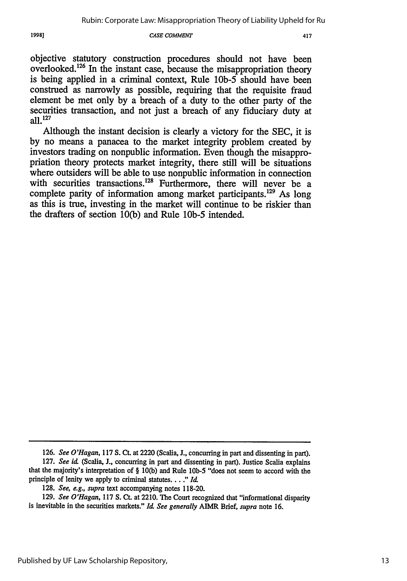**CASE COMMENT**

objective statutory construction procedures should not have been overlooked.<sup>126</sup> In the instant case, because the misappropriation theory is being applied in a criminal context, Rule **lOb-5** should have been construed as narrowly as possible, requiring that the requisite fraud element be met only by a breach of a duty to the other party of the securities transaction, and not just a breach of any fiduciary duty at all. <sup>127</sup>

Although the instant decision is clearly a victory for the SEC, it is by no means a panacea to the market integrity problem created by investors trading on nonpublic information. Even though the misappropriation theory protects market integrity, there still will be situations where outsiders will be able to use nonpublic information in connection with securities transactions.<sup>128</sup> Furthermore, there will never be a complete parity of information among market participants.<sup>129</sup> As long as this is true, investing in the market will continue to be riskier than the drafters of section 10(b) and Rule **lOb-5** intended.

1998]

**<sup>126.</sup>** *See O'Hagan,* 117 **S. Ct.** at 2220 (Scalia, **J.,** concurring in part and dissenting in part).

**<sup>127.</sup>** *See id.* (Scalia, **J.,** concurring in part and dissenting in part). Justice Scalia explains that the majority's interpretation of § **10(b)** and Rule **lOb-5** "does not seem to accord with the principle of lenity we apply to criminal statutes .... *"Id.*

**<sup>128.</sup>** *See, e.g., supra* text accompanying notes **118-20.**

**<sup>129.</sup>** *See O'Hagan,* **117 S.** Ct. at 2210. The Court recognized that "informational disparity is inevitable in the securities markets." *IU See generally AIMR* Brief, *supra* note **16.**